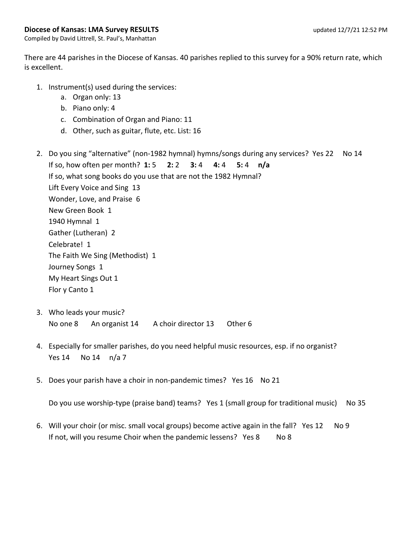## **Diocese of Kansas: LMA Survey RESULTS updated 12/7/21 12:52 PM**

Compiled by David Littrell, St. Paul's, Manhattan

There are 44 parishes in the Diocese of Kansas. 40 parishes replied to this survey for a 90% return rate, which is excellent.

- 1. Instrument(s) used during the services:
	- a. Organ only: 13
	- b. Piano only: 4
	- c. Combination of Organ and Piano: 11
	- d. Other, such as guitar, flute, etc. List: 16
- 2. Do you sing "alternative" (non-1982 hymnal) hymns/songs during any services? Yes 22 No 14 If so, how often per month? **1:** 5 **2:** 2 **3:** 4 **4:** 4 **5:** 4 **n/a** If so, what song books do you use that are not the 1982 Hymnal? Lift Every Voice and Sing 13 Wonder, Love, and Praise 6 New Green Book 1 1940 Hymnal 1 Gather (Lutheran) 2 Celebrate! 1 The Faith We Sing (Methodist) 1 Journey Songs 1 My Heart Sings Out 1 Flor y Canto 1
- 3. Who leads your music? No one 8 An organist 14 A choir director 13 Other 6
- 4. Especially for smaller parishes, do you need helpful music resources, esp. if no organist? Yes 14 No 14 n/a 7
- 5. Does your parish have a choir in non-pandemic times? Yes 16 No 21

Do you use worship-type (praise band) teams? Yes 1 (small group for traditional music) No 35

6. Will your choir (or misc. small vocal groups) become active again in the fall? Yes 12 No 9 If not, will you resume Choir when the pandemic lessens? Yes 8 No 8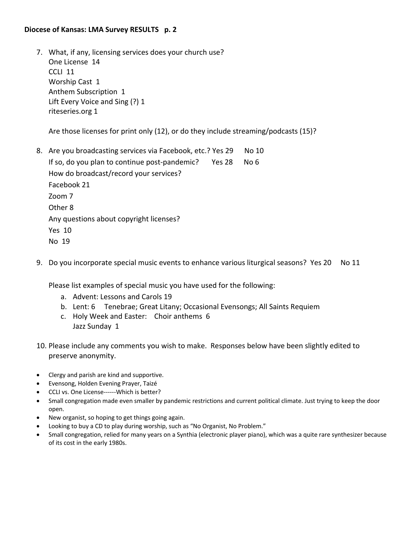## **Diocese of Kansas: LMA Survey RESULTS p. 2**

7. What, if any, licensing services does your church use? One License 14 CCLI 11 Worship Cast 1 Anthem Subscription 1 Lift Every Voice and Sing (?) 1 riteseries.org 1

Are those licenses for print only (12), or do they include streaming/podcasts (15)?

- 8. Are you broadcasting services via Facebook, etc.? Yes 29 No 10 If so, do you plan to continue post-pandemic? Yes 28 No 6 How do broadcast/record your services? Facebook 21 Zoom 7 Other 8 Any questions about copyright licenses? Yes 10 No 19
- 9. Do you incorporate special music events to enhance various liturgical seasons? Yes 20 No 11

Please list examples of special music you have used for the following:

- a. Advent: Lessons and Carols 19
- b. Lent: 6 Tenebrae; Great Litany; Occasional Evensongs; All Saints Requiem
- c. Holy Week and Easter: Choir anthems 6 Jazz Sunday 1
- 10. Please include any comments you wish to make. Responses below have been slightly edited to preserve anonymity.
- Clergy and parish are kind and supportive.
- Evensong, Holden Evening Prayer, Taizé
- CCLI vs. One License------Which is better?
- Small congregation made even smaller by pandemic restrictions and current political climate. Just trying to keep the door open.
- New organist, so hoping to get things going again.
- Looking to buy a CD to play during worship, such as "No Organist, No Problem."
- Small congregation, relied for many years on a Synthia (electronic player piano), which was a quite rare synthesizer because of its cost in the early 1980s.